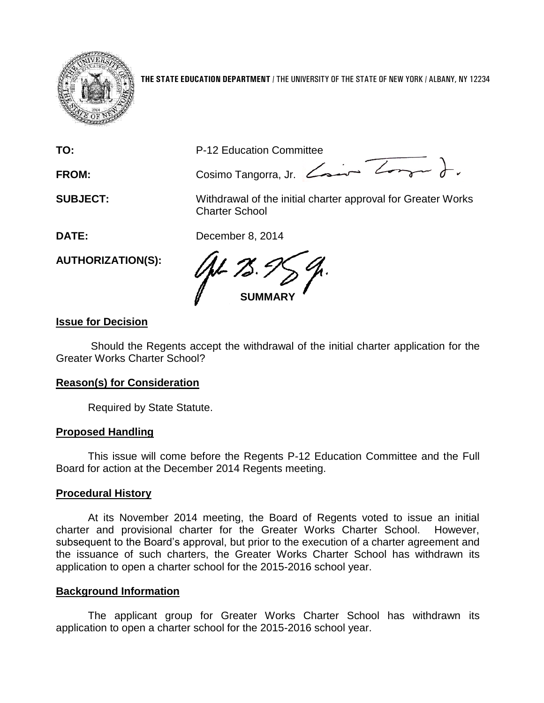

**THE STATE EDUCATION DEPARTMENT** / THE UNIVERSITY OF THE STATE OF NEW YORK / ALBANY, NY 12234

**TO:** P-12 Education Committee

FROM: Cosimo Tangorra, Jr. <del>Cosine Zonger</del> J.

**SUBJECT:** Withdrawal of the initial charter approval for Greater Works Charter School

**DATE:** December 8, 2014

**AUTHORIZATION(S):**

**SUMMARY**

# **Issue for Decision**

Should the Regents accept the withdrawal of the initial charter application for the Greater Works Charter School?

### **Reason(s) for Consideration**

Required by State Statute.

### **Proposed Handling**

This issue will come before the Regents P-12 Education Committee and the Full Board for action at the December 2014 Regents meeting.

# **Procedural History**

At its November 2014 meeting, the Board of Regents voted to issue an initial charter and provisional charter for the Greater Works Charter School. However, subsequent to the Board's approval, but prior to the execution of a charter agreement and the issuance of such charters, the Greater Works Charter School has withdrawn its application to open a charter school for the 2015-2016 school year.

# **Background Information**

The applicant group for Greater Works Charter School has withdrawn its application to open a charter school for the 2015-2016 school year.